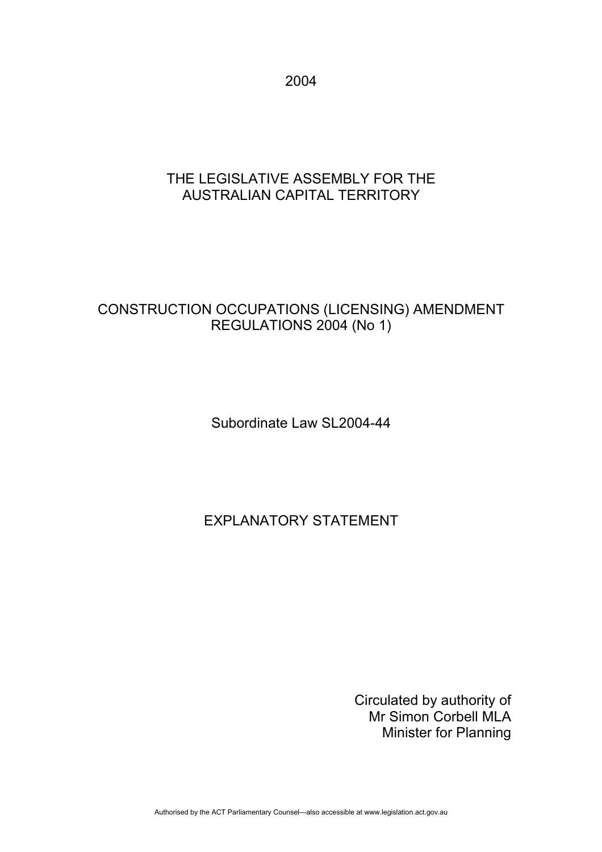2004

## THE LEGISLATIVE ASSEMBLY FOR THE AUSTRALIAN CAPITAL TERRITORY

## CONSTRUCTION OCCUPATIONS (LICENSING) AMENDMENT REGULATIONS 2004 (No 1)

Subordinate Law SL2004-44

# EXPLANATORY STATEMENT

Circulated by authority of Mr Simon Corbell MLA Minister for Planning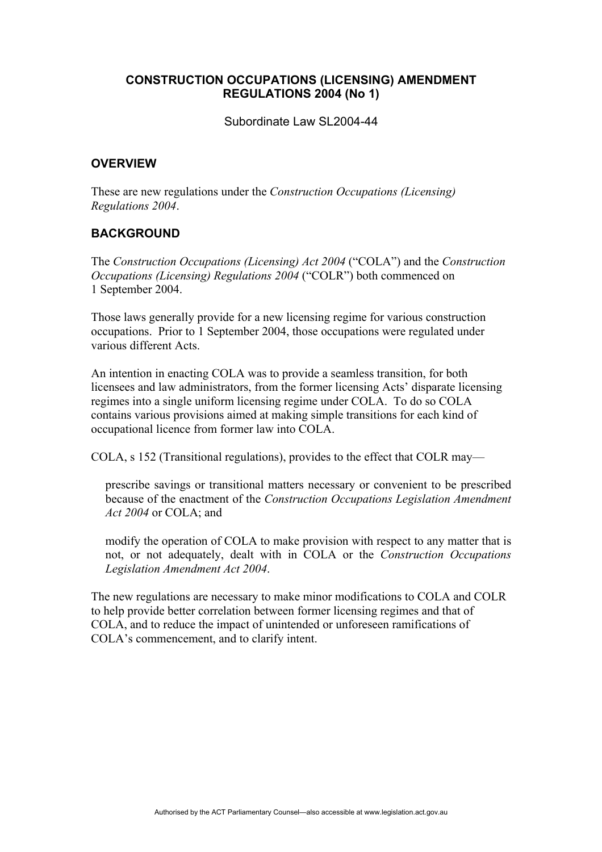#### **CONSTRUCTION OCCUPATIONS (LICENSING) AMENDMENT REGULATIONS 2004 (No 1)**

Subordinate Law SL2004-44

#### **OVERVIEW**

These are new regulations under the *Construction Occupations (Licensing) Regulations 2004*.

#### **BACKGROUND**

The *Construction Occupations (Licensing) Act 2004* ("COLA") and the *Construction Occupations (Licensing) Regulations 2004* ("COLR") both commenced on 1 September 2004.

Those laws generally provide for a new licensing regime for various construction occupations. Prior to 1 September 2004, those occupations were regulated under various different Acts.

An intention in enacting COLA was to provide a seamless transition, for both licensees and law administrators, from the former licensing Acts' disparate licensing regimes into a single uniform licensing regime under COLA. To do so COLA contains various provisions aimed at making simple transitions for each kind of occupational licence from former law into COLA.

COLA, s 152 (Transitional regulations), provides to the effect that COLR may—

prescribe savings or transitional matters necessary or convenient to be prescribed because of the enactment of the *Construction Occupations Legislation Amendment Act 2004* or COLA; and

modify the operation of COLA to make provision with respect to any matter that is not, or not adequately, dealt with in COLA or the *Construction Occupations Legislation Amendment Act 2004*.

The new regulations are necessary to make minor modifications to COLA and COLR to help provide better correlation between former licensing regimes and that of COLA, and to reduce the impact of unintended or unforeseen ramifications of COLA's commencement, and to clarify intent.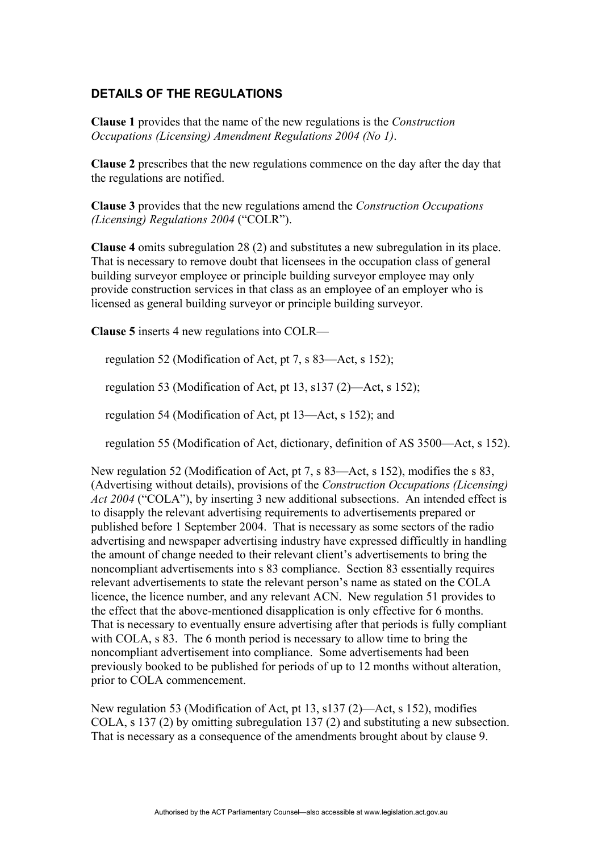### **DETAILS OF THE REGULATIONS**

**Clause 1** provides that the name of the new regulations is the *Construction Occupations (Licensing) Amendment Regulations 2004 (No 1)*.

**Clause 2** prescribes that the new regulations commence on the day after the day that the regulations are notified.

**Clause 3** provides that the new regulations amend the *Construction Occupations (Licensing) Regulations 2004* ("COLR").

**Clause 4** omits subregulation 28 (2) and substitutes a new subregulation in its place. That is necessary to remove doubt that licensees in the occupation class of general building surveyor employee or principle building surveyor employee may only provide construction services in that class as an employee of an employer who is licensed as general building surveyor or principle building surveyor.

**Clause 5** inserts 4 new regulations into COLR—

regulation 52 (Modification of Act, pt 7, s 83—Act, s 152);

regulation 53 (Modification of Act, pt 13, s137 (2)—Act, s 152);

regulation 54 (Modification of Act, pt 13—Act, s 152); and

regulation 55 (Modification of Act, dictionary, definition of AS 3500—Act, s 152).

New regulation 52 (Modification of Act, pt 7, s 83—Act, s 152), modifies the s 83, (Advertising without details), provisions of the *Construction Occupations (Licensing) Act 2004* ("COLA"), by inserting 3 new additional subsections. An intended effect is to disapply the relevant advertising requirements to advertisements prepared or published before 1 September 2004. That is necessary as some sectors of the radio advertising and newspaper advertising industry have expressed difficultly in handling the amount of change needed to their relevant client's advertisements to bring the noncompliant advertisements into s 83 compliance. Section 83 essentially requires relevant advertisements to state the relevant person's name as stated on the COLA licence, the licence number, and any relevant ACN. New regulation 51 provides to the effect that the above-mentioned disapplication is only effective for 6 months. That is necessary to eventually ensure advertising after that periods is fully compliant with COLA, s 83. The 6 month period is necessary to allow time to bring the noncompliant advertisement into compliance. Some advertisements had been previously booked to be published for periods of up to 12 months without alteration, prior to COLA commencement.

New regulation 53 (Modification of Act, pt 13, s137 (2)—Act, s 152), modifies COLA, s 137 (2) by omitting subregulation 137 (2) and substituting a new subsection. That is necessary as a consequence of the amendments brought about by clause 9.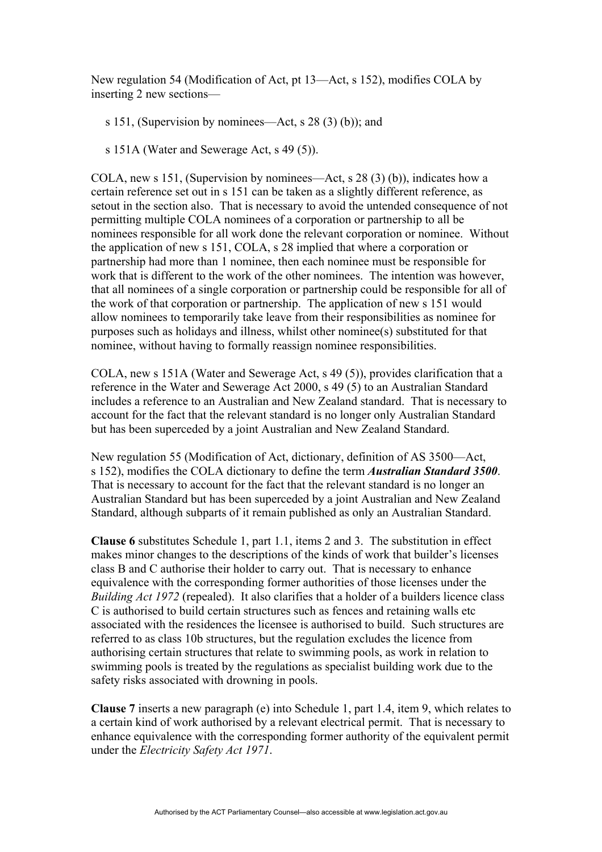New regulation 54 (Modification of Act, pt 13—Act, s 152), modifies COLA by inserting 2 new sections—

s 151, (Supervision by nominees—Act, s 28 (3) (b)); and

s 151A (Water and Sewerage Act, s 49 (5)).

COLA, new s 151, (Supervision by nominees—Act, s  $28(3)(b)$ ), indicates how a certain reference set out in s 151 can be taken as a slightly different reference, as setout in the section also. That is necessary to avoid the untended consequence of not permitting multiple COLA nominees of a corporation or partnership to all be nominees responsible for all work done the relevant corporation or nominee. Without the application of new s 151, COLA, s 28 implied that where a corporation or partnership had more than 1 nominee, then each nominee must be responsible for work that is different to the work of the other nominees. The intention was however that all nominees of a single corporation or partnership could be responsible for all of the work of that corporation or partnership. The application of new s 151 would allow nominees to temporarily take leave from their responsibilities as nominee for purposes such as holidays and illness, whilst other nominee(s) substituted for that nominee, without having to formally reassign nominee responsibilities.

COLA, new s 151A (Water and Sewerage Act, s 49 (5)), provides clarification that a reference in the Water and Sewerage Act 2000, s 49 (5) to an Australian Standard includes a reference to an Australian and New Zealand standard. That is necessary to account for the fact that the relevant standard is no longer only Australian Standard but has been superceded by a joint Australian and New Zealand Standard.

New regulation 55 (Modification of Act, dictionary, definition of AS 3500—Act, s 152), modifies the COLA dictionary to define the term *Australian Standard 3500*. That is necessary to account for the fact that the relevant standard is no longer an Australian Standard but has been superceded by a joint Australian and New Zealand Standard, although subparts of it remain published as only an Australian Standard.

**Clause 6** substitutes Schedule 1, part 1.1, items 2 and 3. The substitution in effect makes minor changes to the descriptions of the kinds of work that builder's licenses class B and C authorise their holder to carry out. That is necessary to enhance equivalence with the corresponding former authorities of those licenses under the *Building Act 1972* (repealed). It also clarifies that a holder of a builders licence class C is authorised to build certain structures such as fences and retaining walls etc associated with the residences the licensee is authorised to build. Such structures are referred to as class 10b structures, but the regulation excludes the licence from authorising certain structures that relate to swimming pools, as work in relation to swimming pools is treated by the regulations as specialist building work due to the safety risks associated with drowning in pools.

**Clause 7** inserts a new paragraph (e) into Schedule 1, part 1.4, item 9, which relates to a certain kind of work authorised by a relevant electrical permit. That is necessary to enhance equivalence with the corresponding former authority of the equivalent permit under the *Electricity Safety Act 1971*.